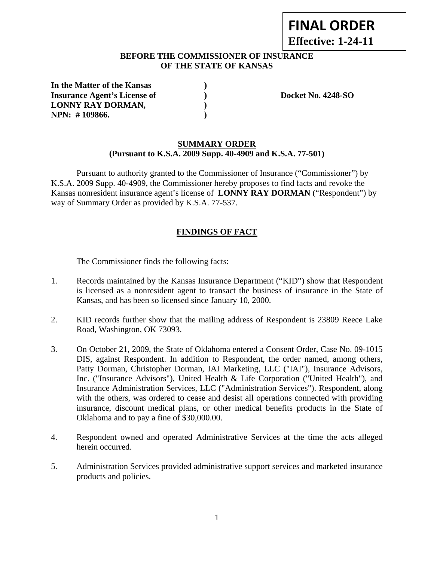# **FINAL ORDER Effective: 1-24-11**

## **BEFORE THE COMMISSIONER OF INSURANCE OF THE STATE OF KANSAS**

| In the Matter of the Kansas         |  |
|-------------------------------------|--|
| <b>Insurance Agent's License of</b> |  |
| LONNY RAY DORMAN,                   |  |
| NPN: #109866.                       |  |

**Insurance Agent's Docket No. 4248-SO** 

## **SUMMARY ORDER (Pursuant to K.S.A. 2009 Supp. 40-4909 and K.S.A. 77-501)**

 Pursuant to authority granted to the Commissioner of Insurance ("Commissioner") by K.S.A. 2009 Supp. 40-4909, the Commissioner hereby proposes to find facts and revoke the Kansas nonresident insurance agent's license of **LONNY RAY DORMAN** ("Respondent") by way of Summary Order as provided by K.S.A. 77-537.

# **FINDINGS OF FACT**

The Commissioner finds the following facts:

- 1. Records maintained by the Kansas Insurance Department ("KID") show that Respondent is licensed as a nonresident agent to transact the business of insurance in the State of Kansas, and has been so licensed since January 10, 2000.
- 2. KID records further show that the mailing address of Respondent is 23809 Reece Lake Road, Washington, OK 73093.
- 3. On October 21, 2009, the State of Oklahoma entered a Consent Order, Case No. 09-1015 DIS, against Respondent. In addition to Respondent, the order named, among others, Patty Dorman, Christopher Dorman, IAI Marketing, LLC ("IAI"), Insurance Advisors, Inc. ("Insurance Advisors"), United Health & Life Corporation ("United Health"), and Insurance Administration Services, LLC ("Administration Services"). Respondent, along with the others, was ordered to cease and desist all operations connected with providing insurance, discount medical plans, or other medical benefits products in the State of Oklahoma and to pay a fine of \$30,000.00.
- 4. Respondent owned and operated Administrative Services at the time the acts alleged herein occurred.
- 5. Administration Services provided administrative support services and marketed insurance products and policies.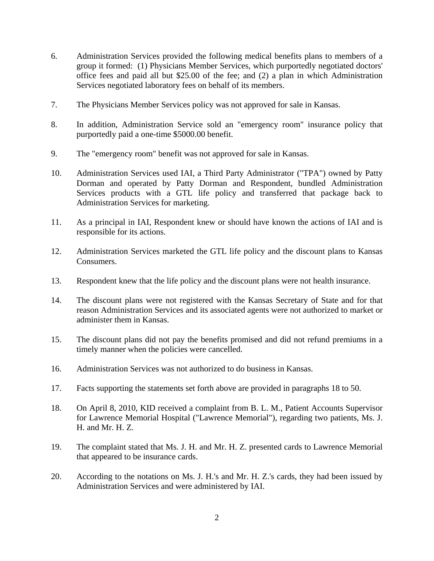- 6. Administration Services provided the following medical benefits plans to members of a group it formed: (1) Physicians Member Services, which purportedly negotiated doctors' office fees and paid all but \$25.00 of the fee; and (2) a plan in which Administration Services negotiated laboratory fees on behalf of its members.
- 7. The Physicians Member Services policy was not approved for sale in Kansas.
- 8. In addition, Administration Service sold an "emergency room" insurance policy that purportedly paid a one-time \$5000.00 benefit.
- 9. The "emergency room" benefit was not approved for sale in Kansas.
- 10. Administration Services used IAI, a Third Party Administrator ("TPA") owned by Patty Dorman and operated by Patty Dorman and Respondent, bundled Administration Services products with a GTL life policy and transferred that package back to Administration Services for marketing.
- 11. As a principal in IAI, Respondent knew or should have known the actions of IAI and is responsible for its actions.
- 12. Administration Services marketed the GTL life policy and the discount plans to Kansas Consumers.
- 13. Respondent knew that the life policy and the discount plans were not health insurance.
- 14. The discount plans were not registered with the Kansas Secretary of State and for that reason Administration Services and its associated agents were not authorized to market or administer them in Kansas.
- 15. The discount plans did not pay the benefits promised and did not refund premiums in a timely manner when the policies were cancelled.
- 16. Administration Services was not authorized to do business in Kansas.
- 17. Facts supporting the statements set forth above are provided in paragraphs 18 to 50.
- 18. On April 8, 2010, KID received a complaint from B. L. M., Patient Accounts Supervisor for Lawrence Memorial Hospital ("Lawrence Memorial"), regarding two patients, Ms. J. H. and Mr. H. Z.
- 19. The complaint stated that Ms. J. H. and Mr. H. Z. presented cards to Lawrence Memorial that appeared to be insurance cards.
- 20. According to the notations on Ms. J. H.'s and Mr. H. Z.'s cards, they had been issued by Administration Services and were administered by IAI.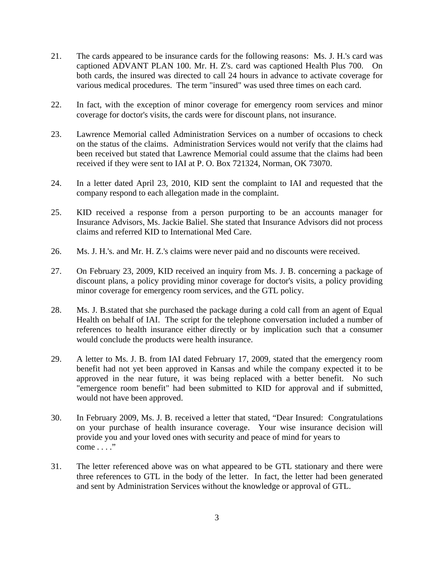- 21. The cards appeared to be insurance cards for the following reasons: Ms. J. H.'s card was captioned ADVANT PLAN 100. Mr. H. Z's. card was captioned Health Plus 700. On both cards, the insured was directed to call 24 hours in advance to activate coverage for various medical procedures. The term "insured" was used three times on each card.
- 22. In fact, with the exception of minor coverage for emergency room services and minor coverage for doctor's visits, the cards were for discount plans, not insurance.
- 23. Lawrence Memorial called Administration Services on a number of occasions to check on the status of the claims. Administration Services would not verify that the claims had been received but stated that Lawrence Memorial could assume that the claims had been received if they were sent to IAI at P. O. Box 721324, Norman, OK 73070.
- 24. In a letter dated April 23, 2010, KID sent the complaint to IAI and requested that the company respond to each allegation made in the complaint.
- 25. KID received a response from a person purporting to be an accounts manager for Insurance Advisors, Ms. Jackie Baliel. She stated that Insurance Advisors did not process claims and referred KID to International Med Care.
- 26. Ms. J. H.'s. and Mr. H. Z.'s claims were never paid and no discounts were received.
- 27. On February 23, 2009, KID received an inquiry from Ms. J. B. concerning a package of discount plans, a policy providing minor coverage for doctor's visits, a policy providing minor coverage for emergency room services, and the GTL policy.
- 28. Ms. J. B.stated that she purchased the package during a cold call from an agent of Equal Health on behalf of IAI. The script for the telephone conversation included a number of references to health insurance either directly or by implication such that a consumer would conclude the products were health insurance.
- 29. A letter to Ms. J. B. from IAI dated February 17, 2009, stated that the emergency room benefit had not yet been approved in Kansas and while the company expected it to be approved in the near future, it was being replaced with a better benefit. No such "emergence room benefit" had been submitted to KID for approval and if submitted, would not have been approved.
- 30. In February 2009, Ms. J. B. received a letter that stated, "Dear Insured: Congratulations on your purchase of health insurance coverage. Your wise insurance decision will provide you and your loved ones with security and peace of mind for years to come . . . ."
- 31. The letter referenced above was on what appeared to be GTL stationary and there were three references to GTL in the body of the letter. In fact, the letter had been generated and sent by Administration Services without the knowledge or approval of GTL.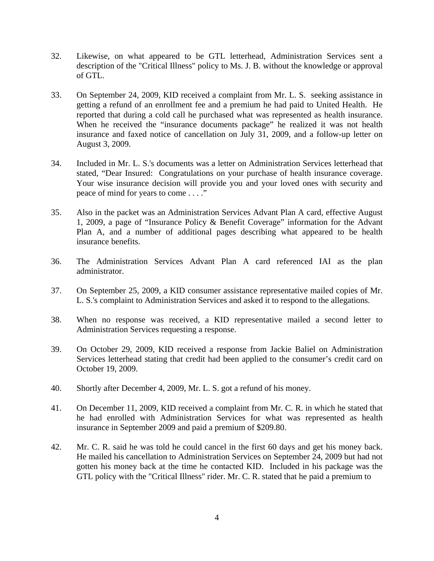- 32. Likewise, on what appeared to be GTL letterhead, Administration Services sent a description of the "Critical Illness" policy to Ms. J. B. without the knowledge or approval of GTL.
- 33. On September 24, 2009, KID received a complaint from Mr. L. S. seeking assistance in getting a refund of an enrollment fee and a premium he had paid to United Health. He reported that during a cold call he purchased what was represented as health insurance. When he received the "insurance documents package" he realized it was not health insurance and faxed notice of cancellation on July 31, 2009, and a follow-up letter on August 3, 2009.
- 34. Included in Mr. L. S.'s documents was a letter on Administration Services letterhead that stated, "Dear Insured: Congratulations on your purchase of health insurance coverage. Your wise insurance decision will provide you and your loved ones with security and peace of mind for years to come . . . ."
- 35. Also in the packet was an Administration Services Advant Plan A card, effective August 1, 2009, a page of "Insurance Policy & Benefit Coverage" information for the Advant Plan A, and a number of additional pages describing what appeared to be health insurance benefits.
- 36. The Administration Services Advant Plan A card referenced IAI as the plan administrator.
- 37. On September 25, 2009, a KID consumer assistance representative mailed copies of Mr. L. S.'s complaint to Administration Services and asked it to respond to the allegations.
- 38. When no response was received, a KID representative mailed a second letter to Administration Services requesting a response.
- 39. On October 29, 2009, KID received a response from Jackie Baliel on Administration Services letterhead stating that credit had been applied to the consumer's credit card on October 19, 2009.
- 40. Shortly after December 4, 2009, Mr. L. S. got a refund of his money.
- 41. On December 11, 2009, KID received a complaint from Mr. C. R. in which he stated that he had enrolled with Administration Services for what was represented as health insurance in September 2009 and paid a premium of \$209.80.
- 42. Mr. C. R. said he was told he could cancel in the first 60 days and get his money back. He mailed his cancellation to Administration Services on September 24, 2009 but had not gotten his money back at the time he contacted KID. Included in his package was the GTL policy with the "Critical Illness" rider. Mr. C. R. stated that he paid a premium to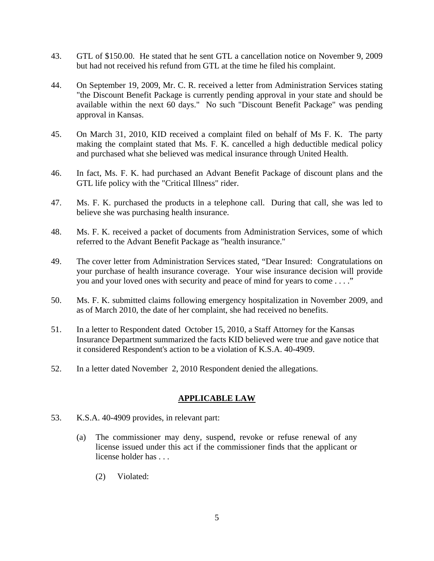- 43. GTL of \$150.00. He stated that he sent GTL a cancellation notice on November 9, 2009 but had not received his refund from GTL at the time he filed his complaint.
- 44. On September 19, 2009, Mr. C. R. received a letter from Administration Services stating "the Discount Benefit Package is currently pending approval in your state and should be available within the next 60 days." No such "Discount Benefit Package" was pending approval in Kansas.
- 45. On March 31, 2010, KID received a complaint filed on behalf of Ms F. K. The party making the complaint stated that Ms. F. K. cancelled a high deductible medical policy and purchased what she believed was medical insurance through United Health.
- 46. In fact, Ms. F. K. had purchased an Advant Benefit Package of discount plans and the GTL life policy with the "Critical Illness" rider.
- 47. Ms. F. K. purchased the products in a telephone call. During that call, she was led to believe she was purchasing health insurance.
- 48. Ms. F. K. received a packet of documents from Administration Services, some of which referred to the Advant Benefit Package as "health insurance."
- 49. The cover letter from Administration Services stated, "Dear Insured: Congratulations on your purchase of health insurance coverage. Your wise insurance decision will provide you and your loved ones with security and peace of mind for years to come . . . ."
- 50. Ms. F. K. submitted claims following emergency hospitalization in November 2009, and as of March 2010, the date of her complaint, she had received no benefits.
- 51. In a letter to Respondent dated October 15, 2010, a Staff Attorney for the Kansas Insurance Department summarized the facts KID believed were true and gave notice that it considered Respondent's action to be a violation of K.S.A. 40-4909.
- 52. In a letter dated November 2, 2010 Respondent denied the allegations.

#### **APPLICABLE LAW**

- 53. K.S.A. 40-4909 provides, in relevant part:
	- (a) The commissioner may deny, suspend, revoke or refuse renewal of any license issued under this act if the commissioner finds that the applicant or license holder has . . .
		- (2) Violated: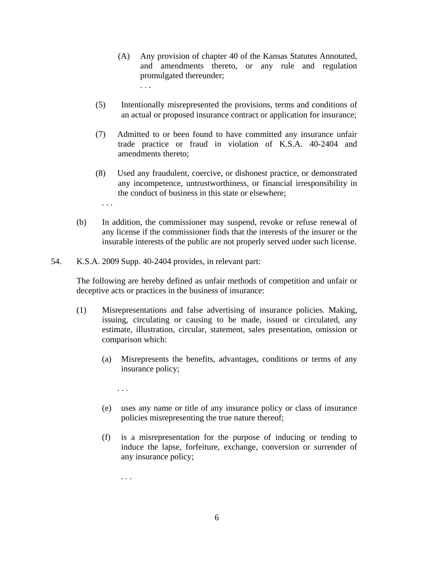- (A) Any provision of chapter 40 of the Kansas Statutes Annotated, and amendments thereto, or any rule and regulation promulgated thereunder; . . .
- (5) Intentionally misrepresented the provisions, terms and conditions of an actual or proposed insurance contract or application for insurance;
- (7) Admitted to or been found to have committed any insurance unfair trade practice or fraud in violation of K.S.A. 40-2404 and amendments thereto;
- (8) Used any fraudulent, coercive, or dishonest practice, or demonstrated any incompetence, untrustworthiness, or financial irresponsibility in the conduct of business in this state or elsewhere;
- (b) In addition, the commissioner may suspend, revoke or refuse renewal of any license if the commissioner finds that the interests of the insurer or the insurable interests of the public are not properly served under such license.
- 54. K.S.A. 2009 Supp. 40-2404 provides, in relevant part:

The following are hereby defined as unfair methods of competition and unfair or deceptive acts or practices in the business of insurance:

- (1) Misrepresentations and false advertising of insurance policies. Making, issuing, circulating or causing to be made, issued or circulated, any estimate, illustration, circular, statement, sales presentation, omission or comparison which:
	- (a) Misrepresents the benefits, advantages, conditions or terms of any insurance policy;
		- . . .

. . .

- (e) uses any name or title of any insurance policy or class of insurance policies misrepresenting the true nature thereof;
- (f) is a misrepresentation for the purpose of inducing or tending to induce the lapse, forfeiture, exchange, conversion or surrender of any insurance policy;

. . .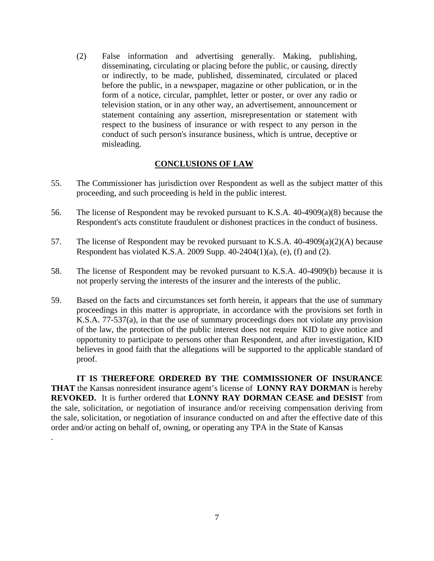(2) False information and advertising generally. Making, publishing, disseminating, circulating or placing before the public, or causing, directly or indirectly, to be made, published, disseminated, circulated or placed before the public, in a newspaper, magazine or other publication, or in the form of a notice, circular, pamphlet, letter or poster, or over any radio or television station, or in any other way, an advertisement, announcement or statement containing any assertion, misrepresentation or statement with respect to the business of insurance or with respect to any person in the conduct of such person's insurance business, which is untrue, deceptive or misleading.

#### **CONCLUSIONS OF LAW**

- 55. The Commissioner has jurisdiction over Respondent as well as the subject matter of this proceeding, and such proceeding is held in the public interest.
- 56. The license of Respondent may be revoked pursuant to K.S.A. 40-4909(a)(8) because the Respondent's acts constitute fraudulent or dishonest practices in the conduct of business.
- 57. The license of Respondent may be revoked pursuant to K.S.A. 40-4909(a)(2)(A) because Respondent has violated K.S.A. 2009 Supp. 40-2404(1)(a), (e), (f) and (2).
- 58. The license of Respondent may be revoked pursuant to K.S.A. 40-4909(b) because it is not properly serving the interests of the insurer and the interests of the public.
- 59. Based on the facts and circumstances set forth herein, it appears that the use of summary proceedings in this matter is appropriate, in accordance with the provisions set forth in K.S.A. 77-537(a), in that the use of summary proceedings does not violate any provision of the law, the protection of the public interest does not require KID to give notice and opportunity to participate to persons other than Respondent, and after investigation, KID believes in good faith that the allegations will be supported to the applicable standard of proof.

 **IT IS THEREFORE ORDERED BY THE COMMISSIONER OF INSURANCE THAT** the Kansas nonresident insurance agent's license of **LONNY RAY DORMAN** is hereby **REVOKED.** It is further ordered that **LONNY RAY DORMAN CEASE and DESIST** from the sale, solicitation, or negotiation of insurance and/or receiving compensation deriving from the sale, solicitation, or negotiation of insurance conducted on and after the effective date of this order and/or acting on behalf of, owning, or operating any TPA in the State of Kansas .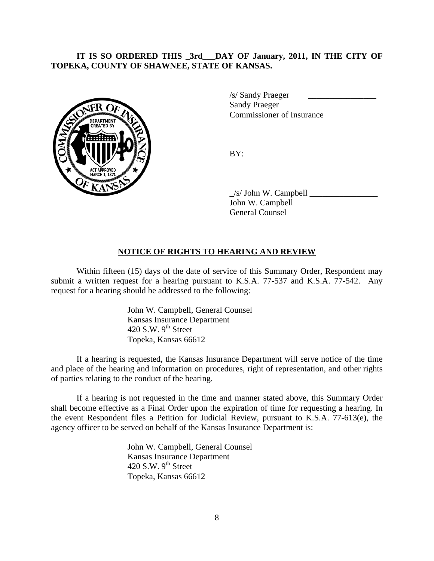### **IT IS SO ORDERED THIS \_3rd\_\_\_DAY OF January, 2011, IN THE CITY OF TOPEKA, COUNTY OF SHAWNEE, STATE OF KANSAS.**



/s/ Sandy Praeger \_\_\_\_\_\_\_\_\_\_\_\_\_\_\_\_

 Sandy Praeger Commissioner of Insurance

 $\angle$ s/ John W. Campbell

 John W. Campbell General Counsel

#### **NOTICE OF RIGHTS TO HEARING AND REVIEW**

Within fifteen (15) days of the date of service of this Summary Order, Respondent may submit a written request for a hearing pursuant to K.S.A. 77-537 and K.S.A. 77-542. Any request for a hearing should be addressed to the following:

> John W. Campbell, General Counsel Kansas Insurance Department 420 S.W.  $9^{th}$  Street Topeka, Kansas 66612

If a hearing is requested, the Kansas Insurance Department will serve notice of the time and place of the hearing and information on procedures, right of representation, and other rights of parties relating to the conduct of the hearing.

If a hearing is not requested in the time and manner stated above, this Summary Order shall become effective as a Final Order upon the expiration of time for requesting a hearing. In the event Respondent files a Petition for Judicial Review, pursuant to K.S.A. 77-613(e), the agency officer to be served on behalf of the Kansas Insurance Department is:

> John W. Campbell, General Counsel Kansas Insurance Department 420 S.W.  $9^{th}$  Street Topeka, Kansas 66612